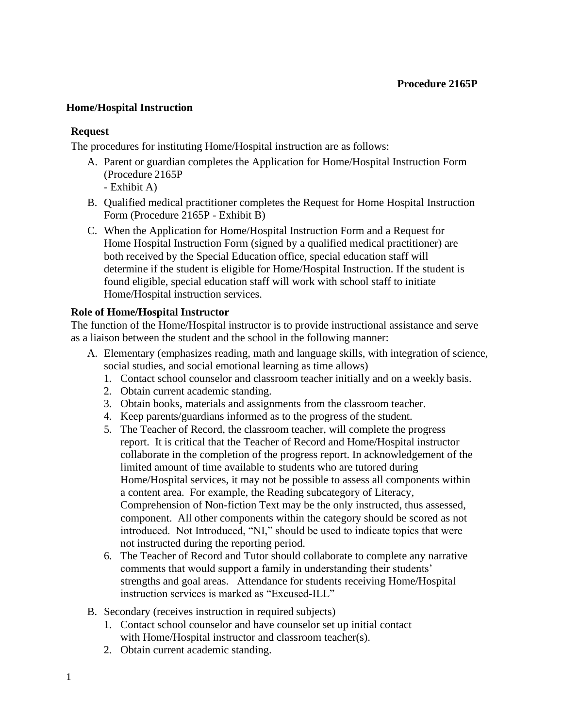### **Home/Hospital Instruction**

### **Request**

The procedures for instituting Home/Hospital instruction are as follows:

- A. Parent or guardian completes the Application for Home/Hospital Instruction Form (Procedure 2165P
	- Exhibit A)
- B. Qualified medical practitioner completes the Request for Home Hospital Instruction Form (Procedure 2165P - Exhibit B)
- C. When the Application for Home/Hospital Instruction Form and a Request for Home Hospital Instruction Form (signed by a qualified medical practitioner) are both received by the Special Education office, special education staff will determine if the student is eligible for Home/Hospital Instruction. If the student is found eligible, special education staff will work with school staff to initiate Home/Hospital instruction services.

### **Role of Home/Hospital Instructor**

The function of the Home/Hospital instructor is to provide instructional assistance and serve as a liaison between the student and the school in the following manner:

- A. Elementary (emphasizes reading, math and language skills, with integration of science, social studies, and social emotional learning as time allows)
	- 1. Contact school counselor and classroom teacher initially and on a weekly basis.
	- 2. Obtain current academic standing.
	- 3. Obtain books, materials and assignments from the classroom teacher.
	- 4. Keep parents/guardians informed as to the progress of the student.
	- 5. The Teacher of Record, the classroom teacher, will complete the progress report. It is critical that the Teacher of Record and Home/Hospital instructor collaborate in the completion of the progress report. In acknowledgement of the limited amount of time available to students who are tutored during Home/Hospital services, it may not be possible to assess all components within a content area. For example, the Reading subcategory of Literacy, Comprehension of Non-fiction Text may be the only instructed, thus assessed, component. All other components within the category should be scored as not introduced. Not Introduced, "NI," should be used to indicate topics that were not instructed during the reporting period.
	- 6. The Teacher of Record and Tutor should collaborate to complete any narrative comments that would support a family in understanding their students' strengths and goal areas. Attendance for students receiving Home/Hospital instruction services is marked as "Excused-ILL"
- B. Secondary (receives instruction in required subjects)
	- 1. Contact school counselor and have counselor set up initial contact with Home/Hospital instructor and classroom teacher(s).
	- 2. Obtain current academic standing.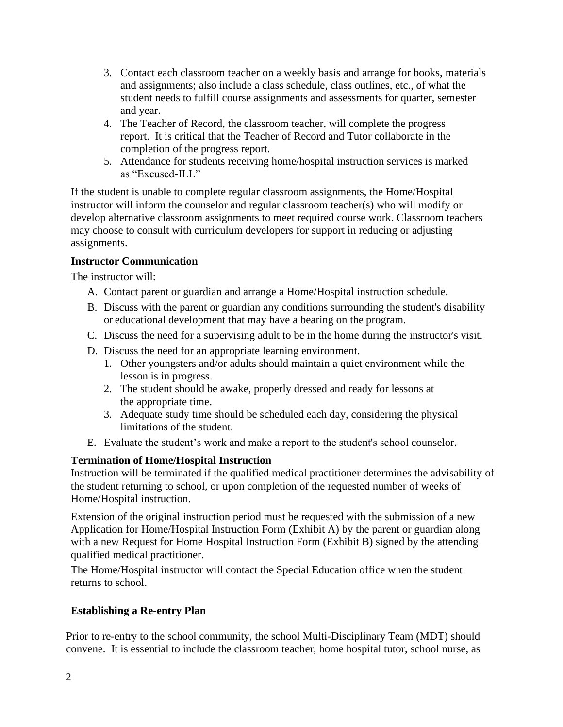- 3. Contact each classroom teacher on a weekly basis and arrange for books, materials and assignments; also include a class schedule, class outlines, etc., of what the student needs to fulfill course assignments and assessments for quarter, semester and year.
- 4. The Teacher of Record, the classroom teacher, will complete the progress report. It is critical that the Teacher of Record and Tutor collaborate in the completion of the progress report.
- 5. Attendance for students receiving home/hospital instruction services is marked as "Excused-ILL"

If the student is unable to complete regular classroom assignments, the Home/Hospital instructor will inform the counselor and regular classroom teacher(s) who will modify or develop alternative classroom assignments to meet required course work. Classroom teachers may choose to consult with curriculum developers for support in reducing or adjusting assignments.

## **Instructor Communication**

The instructor will:

- A. Contact parent or guardian and arrange a Home/Hospital instruction schedule.
- B. Discuss with the parent or guardian any conditions surrounding the student's disability or educational development that may have a bearing on the program.
- C. Discuss the need for a supervising adult to be in the home during the instructor's visit.
- D. Discuss the need for an appropriate learning environment.
	- 1. Other youngsters and/or adults should maintain a quiet environment while the lesson is in progress.
	- 2. The student should be awake, properly dressed and ready for lessons at the appropriate time.
	- 3. Adequate study time should be scheduled each day, considering the physical limitations of the student.
- E. Evaluate the student's work and make a report to the student's school counselor.

# **Termination of Home/Hospital Instruction**

Instruction will be terminated if the qualified medical practitioner determines the advisability of the student returning to school, or upon completion of the requested number of weeks of Home/Hospital instruction.

Extension of the original instruction period must be requested with the submission of a new Application for Home/Hospital Instruction Form (Exhibit A) by the parent or guardian along with a new Request for Home Hospital Instruction Form (Exhibit B) signed by the attending qualified medical practitioner.

The Home/Hospital instructor will contact the Special Education office when the student returns to school.

# **Establishing a Re-entry Plan**

Prior to re-entry to the school community, the school Multi-Disciplinary Team (MDT) should convene. It is essential to include the classroom teacher, home hospital tutor, school nurse, as